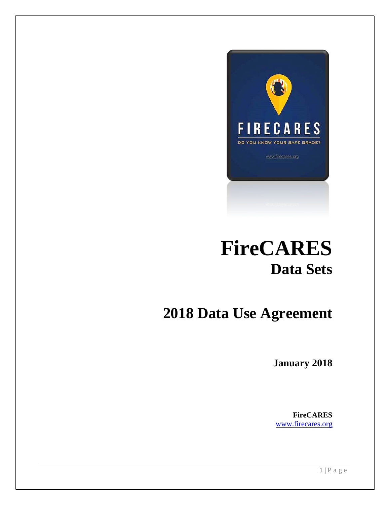

# **FireCARES Data Sets**

## **2018 Data Use Agreement**

**January 2018**

**FireCARES** [www.firecares.org](http://www.firecares.org/)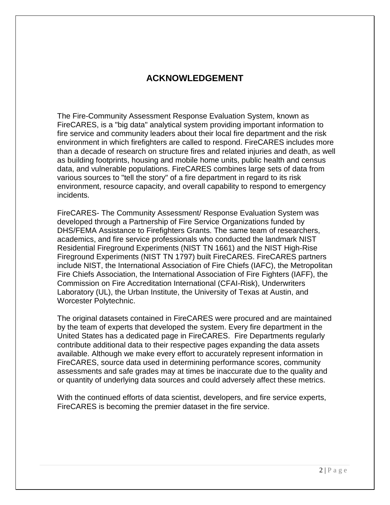#### **ACKNOWLEDGEMENT**

The Fire-Community Assessment Response Evaluation System, known as FireCARES, is a "big data" analytical system providing important information to fire service and community leaders about their local fire department and the risk environment in which firefighters are called to respond. FireCARES includes more than a decade of research on structure fires and related injuries and death, as well as building footprints, housing and mobile home units, public health and census data, and vulnerable populations. FireCARES combines large sets of data from various sources to "tell the story" of a fire department in regard to its risk environment, resource capacity, and overall capability to respond to emergency incidents.

FireCARES- The Community Assessment/ Response Evaluation System was developed through a Partnership of Fire Service Organizations funded by DHS/FEMA Assistance to Firefighters Grants. The same team of researchers, academics, and fire service professionals who conducted the landmark NIST Residential Fireground Experiments (NIST TN 1661) and the NIST High-Rise Fireground Experiments (NIST TN 1797) built FireCARES. FireCARES partners include NIST, the International Association of Fire Chiefs (IAFC), the Metropolitan Fire Chiefs Association, the International Association of Fire Fighters (IAFF), the Commission on Fire Accreditation International (CFAI-Risk), Underwriters Laboratory (UL), the Urban Institute, the University of Texas at Austin, and Worcester Polytechnic.

The original datasets contained in FireCARES were procured and are maintained by the team of experts that developed the system. Every fire department in the United States has a dedicated page in FireCARES. Fire Departments regularly contribute additional data to their respective pages expanding the data assets available. Although we make every effort to accurately represent information in FireCARES, source data used in determining performance scores, community assessments and safe grades may at times be inaccurate due to the quality and or quantity of underlying data sources and could adversely affect these metrics.

With the continued efforts of data scientist, developers, and fire service experts, FireCARES is becoming the premier dataset in the fire service.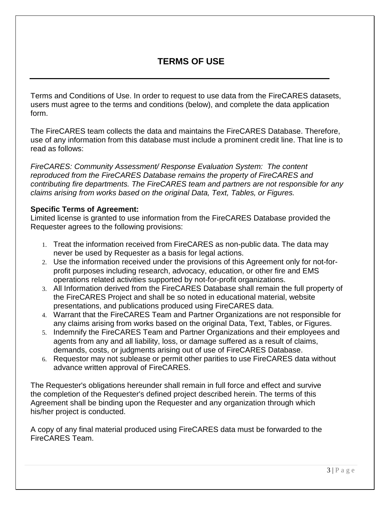#### **TERMS OF USE**

Terms and Conditions of Use. In order to request to use data from the FireCARES datasets, users must agree to the terms and conditions (below), and complete the data application form.

The FireCARES team collects the data and maintains the FireCARES Database. Therefore, use of any information from this database must include a prominent credit line. That line is to read as follows:

*FireCARES: Community Assessment/ Response Evaluation System: The content reproduced from the FireCARES Database remains the property of FireCARES and contributing fire departments. The FireCARES team and partners are not responsible for any claims arising from works based on the original Data, Text, Tables, or Figures.*

#### **Specific Terms of Agreement:**

Limited license is granted to use information from the FireCARES Database provided the Requester agrees to the following provisions:

- 1. Treat the information received from FireCARES as non-public data. The data may never be used by Requester as a basis for legal actions.
- 2. Use the information received under the provisions of this Agreement only for not-forprofit purposes including research, advocacy, education, or other fire and EMS operations related activities supported by not-for-profit organizations.
- 3. All Information derived from the FireCARES Database shall remain the full property of the FireCARES Project and shall be so noted in educational material, website presentations, and publications produced using FireCARES data.
- 4. Warrant that the FireCARES Team and Partner Organizations are not responsible for any claims arising from works based on the original Data, Text, Tables, or Figures.
- 5. Indemnify the FireCARES Team and Partner Organizations and their employees and agents from any and all liability, loss, or damage suffered as a result of claims, demands, costs, or judgments arising out of use of FireCARES Database.
- 6. Requestor may not sublease or permit other parities to use FireCARES data without advance written approval of FireCARES.

The Requester's obligations hereunder shall remain in full force and effect and survive the completion of the Requester's defined project described herein. The terms of this Agreement shall be binding upon the Requester and any organization through which his/her project is conducted.

A copy of any final material produced using FireCARES data must be forwarded to the FireCARES Team.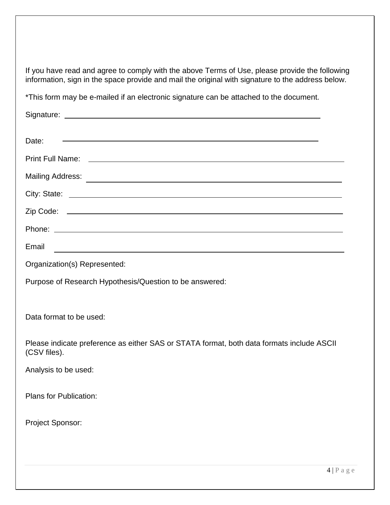If you have read and agree to comply with the above Terms of Use, please provide the following information, sign in the space provide and mail the original with signature to the address below.

\*This form may be e-mailed if an electronic signature can be attached to the document.

| <u> 1989 - Johann Stoff, deutscher Stoffen und der Stoffen und der Stoffen und der Stoffen und der Stoffen und der</u><br>Date: |
|---------------------------------------------------------------------------------------------------------------------------------|
|                                                                                                                                 |
|                                                                                                                                 |
|                                                                                                                                 |
|                                                                                                                                 |
|                                                                                                                                 |
| Email<br><u> 1989 - Johann Stoff, deutscher Stoffen und der Stoffen und der Stoffen und der Stoffen und der Stoffen und de</u>  |
| Organization(s) Represented:                                                                                                    |
| Purpose of Research Hypothesis/Question to be answered:                                                                         |
|                                                                                                                                 |
| Data format to be used:                                                                                                         |
| Please indicate preference as either SAS or STATA format, both data formats include ASCII<br>(CSV files).                       |
| Analysis to be used:                                                                                                            |
| Plans for Publication:                                                                                                          |
| Project Sponsor:                                                                                                                |
|                                                                                                                                 |
|                                                                                                                                 |
| $A \perp \mathbb{D}$                                                                                                            |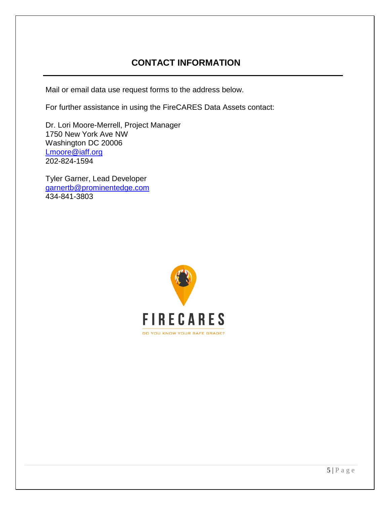### **CONTACT INFORMATION**

Mail or email data use request forms to the address below.

For further assistance in using the FireCARES Data Assets contact:

Dr. Lori Moore-Merrell, Project Manager 1750 New York Ave NW Washington DC 20006 [Lmoore@iaff.org](mailto:Lmoore@iaff.org) 202-824-1594

Tyler Garner, Lead Developer [garnertb@prominentedge.com](mailto:garnertb@prominentedge.com) 434-841-3803